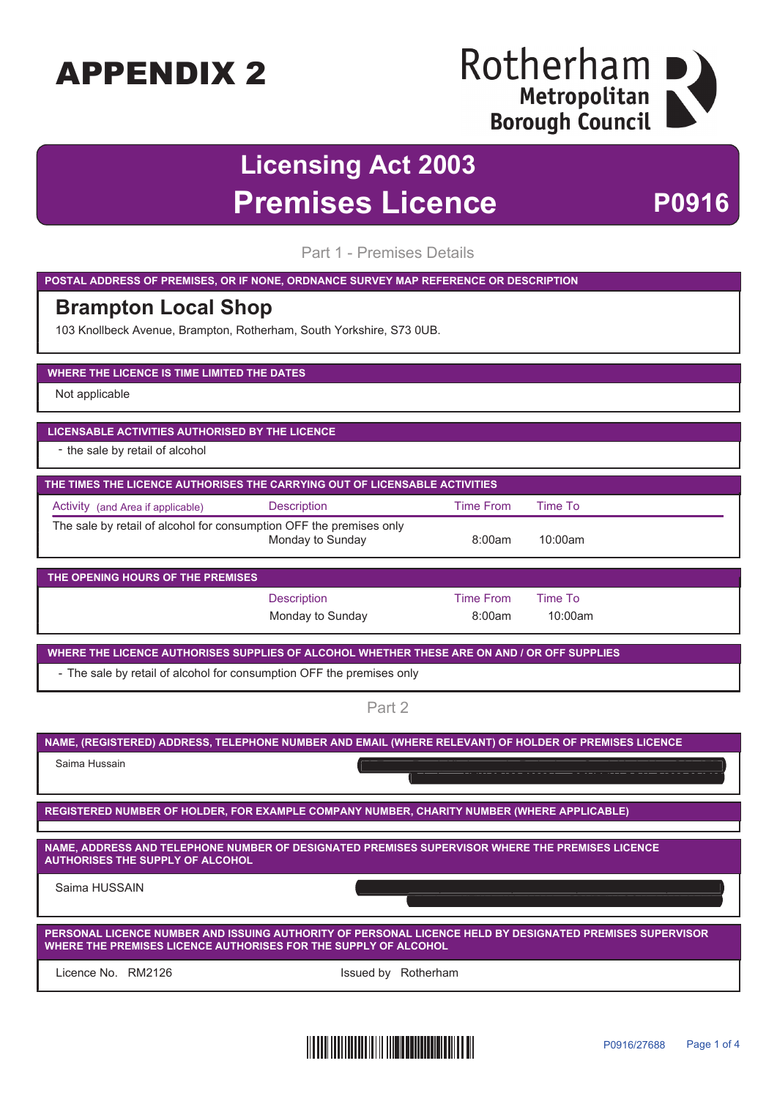## Rotherham D Metropolitan **Borough Council**

## **Licensing Act 2003 Premises Licence** P0916

Part 1 - Premises Details

**POSTAL ADDRESS OF PREMISES, OR IF NONE, ORDNANCE SURVEY MAP REFERENCE OR DESCRIPTION**

### **Brampton Local Shop**

103 Knollbeck Avenue, Brampton, Rotherham, South Yorkshire, S73 0UB.

#### **WHERE THE LICENCE IS TIME LIMITED THE DATES**

Not applicable

#### **LICENSABLE ACTIVITIES AUTHORISED BY THE LICENCE**

- the sale by retail of alcohol

| THE TIMES THE LICENCE AUTHORISES THE CARRYING OUT OF LICENSABLE ACTIVITIES                                   |             |           |         |  |
|--------------------------------------------------------------------------------------------------------------|-------------|-----------|---------|--|
| Activity (and Area if applicable)                                                                            | Description | Time From | Time To |  |
| The sale by retail of alcohol for consumption OFF the premises only<br>Monday to Sunday<br>8:00am<br>10:00am |             |           |         |  |

| THE OPENING HOURS OF THE PREMISES |                  |           |         |  |  |
|-----------------------------------|------------------|-----------|---------|--|--|
|                                   | Description      | Time From | Time To |  |  |
|                                   | Monday to Sunday | 8:00am    | 10:00am |  |  |

**WHERE THE LICENCE AUTHORISES SUPPLIES OF ALCOHOL WHETHER THESE ARE ON AND / OR OFF SUPPLIES**

- The sale by retail of alcohol for consumption OFF the premises only

Part 2

|                                                                                                                                                                             | NAME, (REGISTERED) ADDRESS, TELEPHONE NUMBER AND EMAIL (WHERE RELEVANT) OF HOLDER OF PREMISES LICENCE |  |  |  |
|-----------------------------------------------------------------------------------------------------------------------------------------------------------------------------|-------------------------------------------------------------------------------------------------------|--|--|--|
| Saima Hussain                                                                                                                                                               |                                                                                                       |  |  |  |
|                                                                                                                                                                             | REGISTERED NUMBER OF HOLDER, FOR EXAMPLE COMPANY NUMBER, CHARITY NUMBER (WHERE APPLICABLE)            |  |  |  |
|                                                                                                                                                                             |                                                                                                       |  |  |  |
| <b>AUTHORISES THE SUPPLY OF ALCOHOL</b>                                                                                                                                     | NAME, ADDRESS AND TELEPHONE NUMBER OF DESIGNATED PREMISES SUPERVISOR WHERE THE PREMISES LICENCE       |  |  |  |
| Saima HUSSAIN                                                                                                                                                               |                                                                                                       |  |  |  |
| PERSONAL LICENCE NUMBER AND ISSUING AUTHORITY OF PERSONAL LICENCE HELD BY DESIGNATED PREMISES SUPERVISOR<br>WHERE THE PREMISES LICENCE AUTHORISES FOR THE SUPPLY OF ALCOHOL |                                                                                                       |  |  |  |
| Licence No. – RM2126                                                                                                                                                        | Rotherham<br>Issued by                                                                                |  |  |  |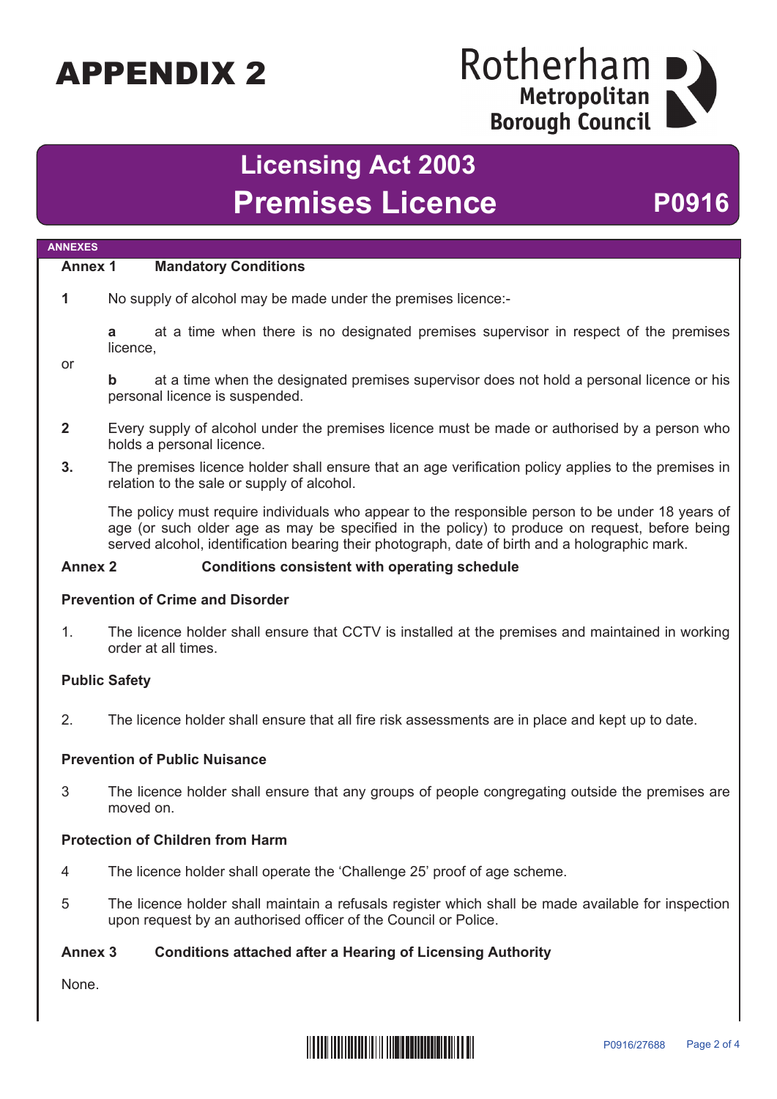## Rotherham Metropolitan **Borough Council**

## **Licensing Act 2003** Premises Licence P0916

#### **Annex 1 Mandatory Conditions**

**1** No supply of alcohol may be made under the premises licence:-

**a** at a time when there is no designated premises supervisor in respect of the premises licence,

or

**ANNEXES**

**b** at a time when the designated premises supervisor does not hold a personal licence or his personal licence is suspended.

- **2** Every supply of alcohol under the premises licence must be made or authorised by a person who holds a personal licence.
- **3.** The premises licence holder shall ensure that an age verification policy applies to the premises in relation to the sale or supply of alcohol.

The policy must require individuals who appear to the responsible person to be under 18 years of age (or such older age as may be specified in the policy) to produce on request, before being served alcohol, identification bearing their photograph, date of birth and a holographic mark.

#### **Annex 2 Conditions consistent with operating schedule**

#### **Prevention of Crime and Disorder**

1. The licence holder shall ensure that CCTV is installed at the premises and maintained in working order at all times.

#### **Public Safety**

2. The licence holder shall ensure that all fire risk assessments are in place and kept up to date.

#### **Prevention of Public Nuisance**

3 The licence holder shall ensure that any groups of people congregating outside the premises are moved on.

#### **Protection of Children from Harm**

- 4 The licence holder shall operate the 'Challenge 25' proof of age scheme.
- 5 The licence holder shall maintain a refusals register which shall be made available for inspection upon request by an authorised officer of the Council or Police.

#### **Annex 3 Conditions attached after a Hearing of Licensing Authority**

None.

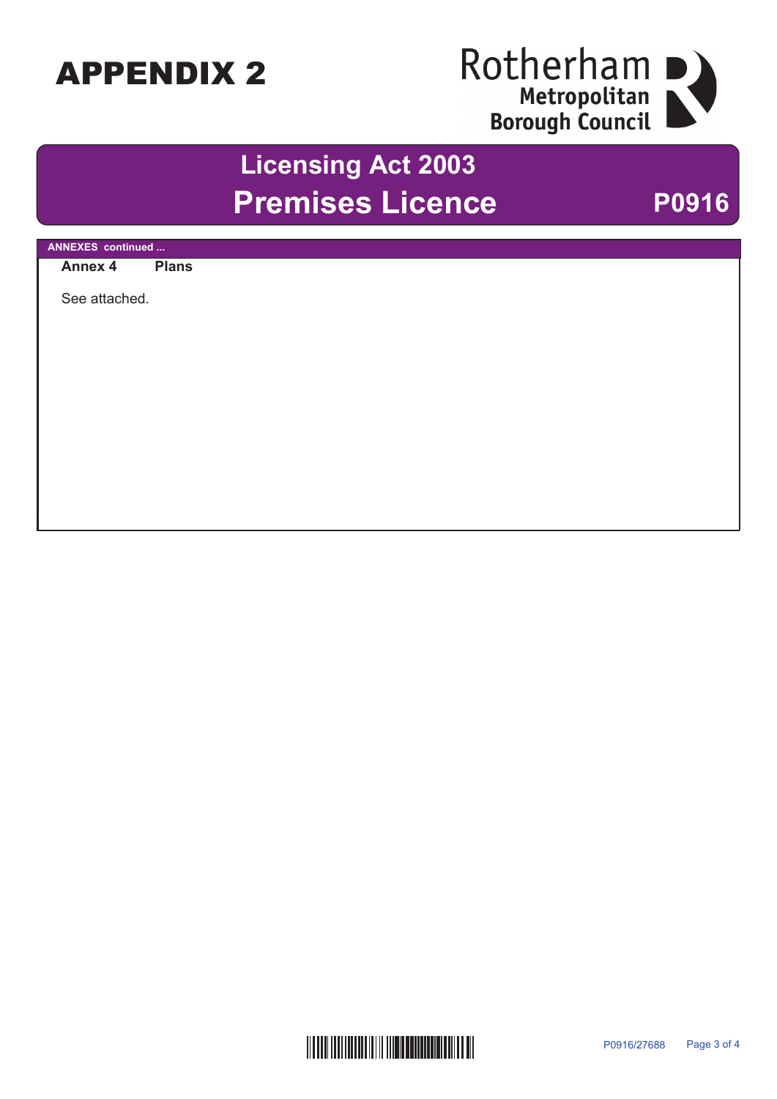# Rotherham<br>
Metropolitan<br>
Borough Council

## **Licensing Act 2003 Premises Licence P0916**

| <b>ANNEXES</b> continued |              |
|--------------------------|--------------|
| Annex 4                  | <b>Plans</b> |
|                          |              |
| See attached.            |              |
|                          |              |
|                          |              |
|                          |              |
|                          |              |
|                          |              |
|                          |              |
|                          |              |
|                          |              |
|                          |              |
|                          |              |
|                          |              |
|                          |              |
|                          |              |